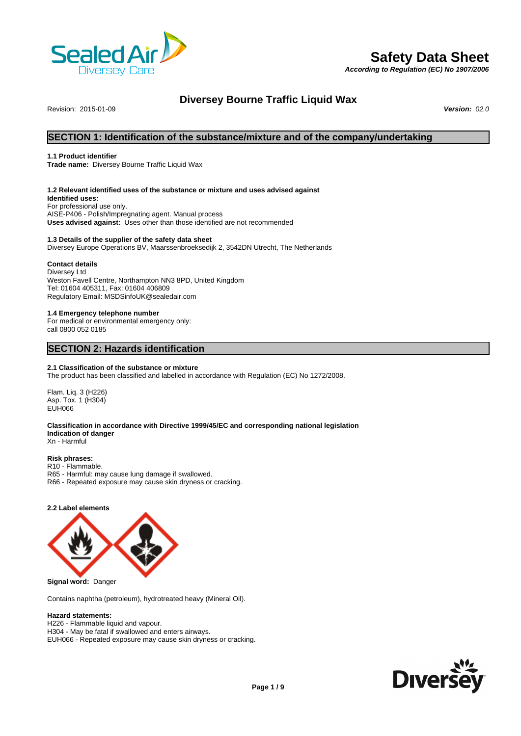

# **Safety Data Sheet**

*According to Regulation (EC) No 1907/2006*

# **Diversey Bourne Traffic Liquid Wax**<br>Version: 02.0

Revision: 2015-01-09 *Version: 02.0*

# **SECTION 1: Identification of the substance/mixture and of the company/undertaking**

# **1.1 Product identifier**

**Trade name:** Diversey Bourne Traffic Liquid Wax

# **1.2 Relevant identified uses of the substance or mixture and uses advised against**

**Identified uses:** For professional use only. AISE-P406 - Polish/Impregnating agent. Manual process **Uses advised against:** Uses other than those identified are not recommended

# **1.3 Details of the supplier of the safety data sheet**

Diversey Europe Operations BV, Maarssenbroeksedijk 2, 3542DN Utrecht, The Netherlands

# **Contact details**

Diversey Ltd Weston Favell Centre, Northampton NN3 8PD, United Kingdom Tel: 01604 405311, Fax: 01604 406809 Regulatory Email: MSDSinfoUK@sealedair.com

# **1.4 Emergency telephone number**

For medical or environmental emergency only: call 0800 052 0185

# **SECTION 2: Hazards identification**

# **2.1 Classification of the substance or mixture**

The product has been classified and labelled in accordance with Regulation (EC) No 1272/2008.

Flam. Liq. 3 (H226) Asp. Tox. 1 (H304) EUH066

#### **Classification in accordance with Directive 1999/45/EC and corresponding national legislation Indication of danger** Xn - Harmful

#### **Risk phrases:** R10 - Flammable.

- R65 Harmful: may cause lung damage if swallowed.
- R66 Repeated exposure may cause skin dryness or cracking.

# **2.2 Label elements**



**Signal word:** Danger

Contains naphtha (petroleum), hydrotreated heavy (Mineral Oil).

# **Hazard statements:**

H226 - Flammable liquid and vapour. H304 - May be fatal if swallowed and enters airways. EUH066 - Repeated exposure may cause skin dryness or cracking.

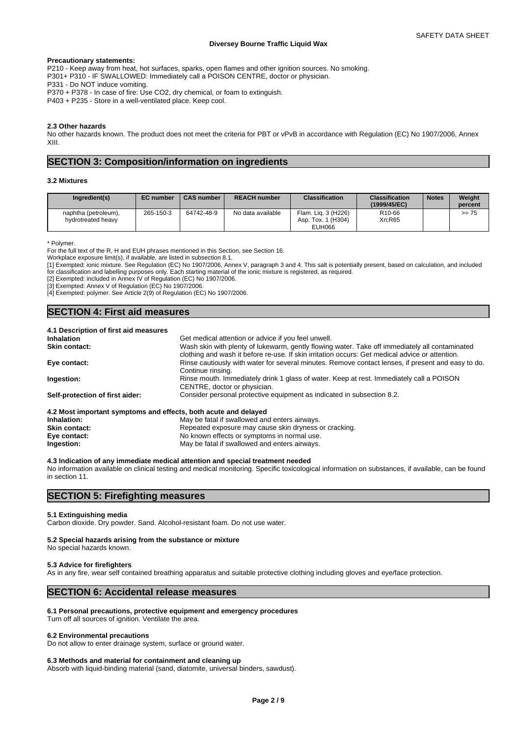#### **Precautionary statements:**

P210 - Keep away from heat, hot surfaces, sparks, open flames and other ignition sources. No smoking.

P301+ P310 - IF SWALLOWED: Immediately call a POISON CENTRE, doctor or physician.

P331 - Do NOT induce vomiting.

P370 + P378 - In case of fire: Use CO2, dry chemical, or foam to extinguish.

P403 + P235 - Store in a well-ventilated place. Keep cool.

# **2.3 Other hazards**

No other hazards known. The product does not meet the criteria for PBT or vPvB in accordance with Regulation (EC) No 1907/2006, Annex XIII.

# **SECTION 3: Composition/information on ingredients**

## **3.2 Mixtures**

| Ingredient(s)                              | <b>EC</b> number | <b>CAS number</b> | <b>REACH number</b> | <b>Classification</b>                                         | <b>Classification</b><br>(1999/45/EC) | <b>Notes</b> | Weight<br>percent |
|--------------------------------------------|------------------|-------------------|---------------------|---------------------------------------------------------------|---------------------------------------|--------------|-------------------|
| naphtha (petroleum),<br>hydrotreated heavy | 265-150-3        | 64742-48-9        | No data available   | Flam. Lig. 3 (H226)<br>I (H304)<br>Tox. $1$<br>Asp.<br>EUH066 | R <sub>10-66</sub><br>Xn:R65          |              | $>= 75$           |

\* Polymer.

For the full text of the R, H and EUH phrases mentioned in this Section, see Section 16.

Workplace exposure limit(s), if available, are listed in subsection 8.1.

[1] Exempted: ionic mixture. See Regulation (EC) No 1907/2006, Annex V, paragraph 3 and 4. This salt is potentially present, based on calculation, and included for classification and labelling purposes only. Each starting material of the ionic mixture is registered, as required.

[2] Exempted: included in Annex IV of Regulation (EC) No 1907/2006.

[3] Exempted: Annex V of Regulation (EC) No 1907/2006.

[4] Exempted: polymer. See Article 2(9) of Regulation (EC) No 1907/2006.

# **SECTION 4: First aid measures**

# **4.1 Description of first aid measures**

| <b>Inhalation</b>                                               | Get medical attention or advice if you feel unwell.                                                                                                                                               |
|-----------------------------------------------------------------|---------------------------------------------------------------------------------------------------------------------------------------------------------------------------------------------------|
| <b>Skin contact:</b>                                            | Wash skin with plenty of lukewarm, gently flowing water. Take off immediately all contaminated<br>clothing and wash it before re-use. If skin irritation occurs: Get medical advice or attention. |
| Eye contact:                                                    | Rinse cautiously with water for several minutes. Remove contact lenses, if present and easy to do.<br>Continue rinsing.                                                                           |
| Ingestion:                                                      | Rinse mouth. Immediately drink 1 glass of water. Keep at rest. Immediately call a POISON<br>CENTRE, doctor or physician.                                                                          |
| Self-protection of first aider:                                 | Consider personal protective equipment as indicated in subsection 8.2.                                                                                                                            |
| 4.2 Most important symptoms and effects, both acute and delayed |                                                                                                                                                                                                   |
| Inhalation:                                                     | May be fatal if swallowed and enters airways.                                                                                                                                                     |
|                                                                 |                                                                                                                                                                                                   |

| <b>Skin contact:</b> | Repeated exposure may cause skin dryness or cracking. |
|----------------------|-------------------------------------------------------|
| Eye contact:         | No known effects or symptoms in normal use.           |
| Ingestion:           | May be fatal if swallowed and enters airways.         |

# **4.3 Indication of any immediate medical attention and special treatment needed**

No information available on clinical testing and medical monitoring. Specific toxicological information on substances, if available, can be found in section 11.

# **SECTION 5: Firefighting measures**

## **5.1 Extinguishing media**

Carbon dioxide. Dry powder. Sand. Alcohol-resistant foam. Do not use water.

# **5.2 Special hazards arising from the substance or mixture**

No special hazards known.

# **5.3 Advice for firefighters**

As in any fire, wear self contained breathing apparatus and suitable protective clothing including gloves and eye/face protection.

# **SECTION 6: Accidental release measures**

# **6.1 Personal precautions, protective equipment and emergency procedures**

Turn off all sources of ignition. Ventilate the area.

# **6.2 Environmental precautions**

Do not allow to enter drainage system, surface or ground water.

# **6.3 Methods and material for containment and cleaning up**

Absorb with liquid-binding material (sand, diatomite, universal binders, sawdust).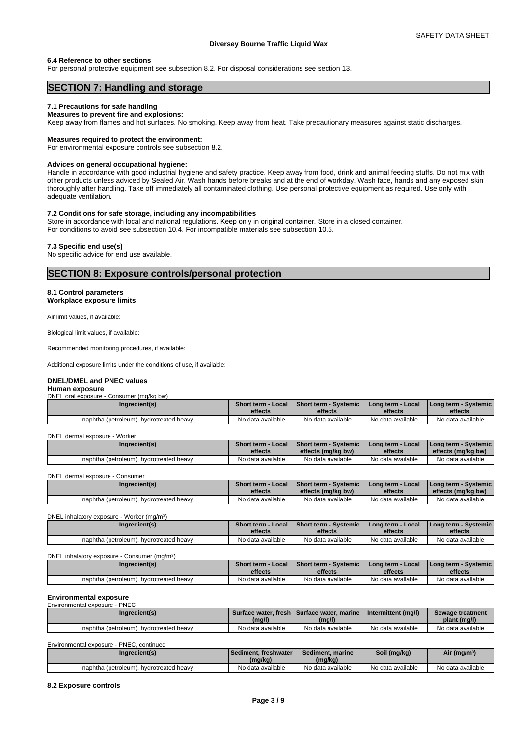# **6.4 Reference to other sections**

For personal protective equipment see subsection 8.2. For disposal considerations see section 13.

# **SECTION 7: Handling and storage**

# **7.1 Precautions for safe handling**

# **Measures to prevent fire and explosions:**

Keep away from flames and hot surfaces. No smoking. Keep away from heat. Take precautionary measures against static discharges.

## **Measures required to protect the environment:**

For environmental exposure controls see subsection 8.2.

#### **Advices on general occupational hygiene:**

Handle in accordance with good industrial hygiene and safety practice. Keep away from food, drink and animal feeding stuffs. Do not mix with other products unless adviced by Sealed Air. Wash hands before breaks and at the end of workday. Wash face, hands and any exposed skin thoroughly after handling. Take off immediately all contaminated clothing. Use personal protective equipment as required. Use only with adequate ventilation.

# **7.2 Conditions for safe storage, including any incompatibilities**

Store in accordance with local and national regulations. Keep only in original container. Store in a closed container. For conditions to avoid see subsection 10.4. For incompatible materials see subsection 10.5.

# **7.3 Specific end use(s)**

No specific advice for end use available.

# **SECTION 8: Exposure controls/personal protection**

# **8.1 Control parameters**

**Workplace exposure limits**

Air limit values, if available:

Biological limit values, if available:

Recommended monitoring procedures, if available:

Additional exposure limits under the conditions of use, if available:

#### **DNEL/DMEL and PNEC values**

#### **Human exposure** DNEL oral exposure - Consumer (mg/kg bw)

| Ingredient(s)                           | <b>Short term - Local</b><br>effects | Short term - Systemic'<br>effects | Long term - Local<br>effects | <b>I Long term - Systemic I</b><br>effects |
|-----------------------------------------|--------------------------------------|-----------------------------------|------------------------------|--------------------------------------------|
| naphtha (petroleum), hydrotreated heavy | No data available                    | No data available                 | No data available            | No data available                          |

DNEL dermal exposure - Worker

| Ingredient(s)                           | Short term - Local | <b>Short term - Systemicl</b> | Long term - Local | I Long term - Systemic I |
|-----------------------------------------|--------------------|-------------------------------|-------------------|--------------------------|
|                                         | effects            | effects (mg/kg bw)            | effects           | effects (mg/kg bw)       |
| naphtha (petroleum), hydrotreated heavy | No data available  | No data available             | No data available | No data available        |

DNEL dermal exposure - Consumer

| Ingredient(s)                           | <b>Short term - Local</b> | <b>Short term - Systemic</b> | Long term - Local | l Long term - Svstemic I |
|-----------------------------------------|---------------------------|------------------------------|-------------------|--------------------------|
|                                         | effects                   | effects (mg/kg bw)           | effects           | effects (mg/kg bw)       |
| naphtha (petroleum), hydrotreated heavy | No data available         | No data available            | No data available | No data available        |

DNEL inhalatory exposure - Worker (mg/m<sup>3</sup>  $)$ 

| Ingredient(s)                           | Short term - Local | <b>Short term - Systemic</b> | Long term - Local | l Long term - Svstemic l |
|-----------------------------------------|--------------------|------------------------------|-------------------|--------------------------|
|                                         | effects            | effects                      | effects           | effects                  |
| naphtha (petroleum), hydrotreated heavy | No data available  | No data available            | No data available | No data available        |

DNEL inhalatory exposure - Consumer (mg/m<sup>3</sup>)

| Ingredient(s)                           | Short term - Local<br>effects | <b>Short term - Systemicl</b><br>effects | Long term - Local<br>effects | I Long term - Systemic I<br>effects |  |
|-----------------------------------------|-------------------------------|------------------------------------------|------------------------------|-------------------------------------|--|
|                                         |                               |                                          |                              |                                     |  |
| naphtha (petroleum), hydrotreated heavy | No data available             | No data available                        | No data available            | No data available                   |  |

 $)$ 

#### **Environmental exposure** Environmental exposure - PNEC

| Ingredient(s)                           | (mg/l)            | Surface water, fresh Surface water, marine<br>(mg/l) | Intermittent (mg/l) | Sewage treatment<br>plant (mg/l) |
|-----------------------------------------|-------------------|------------------------------------------------------|---------------------|----------------------------------|
| naphtha (petroleum), hydrotreated heavy | No data available | No data available                                    | No data available   | No data available                |

| Environmental exposure - PNEC, continued |               |                          |                  |              |                         |  |
|------------------------------------------|---------------|--------------------------|------------------|--------------|-------------------------|--|
|                                          | Ingredient(s) | I Sediment, freshwater I | Sediment, marine | Soil (mg/kg) | Air (mg/m <sup>3)</sup> |  |
|                                          |               | (mg/kg)                  | (mg/kg)          |              |                         |  |
|                                          |               |                          |                  |              |                         |  |

#### **8.2 Exposure controls**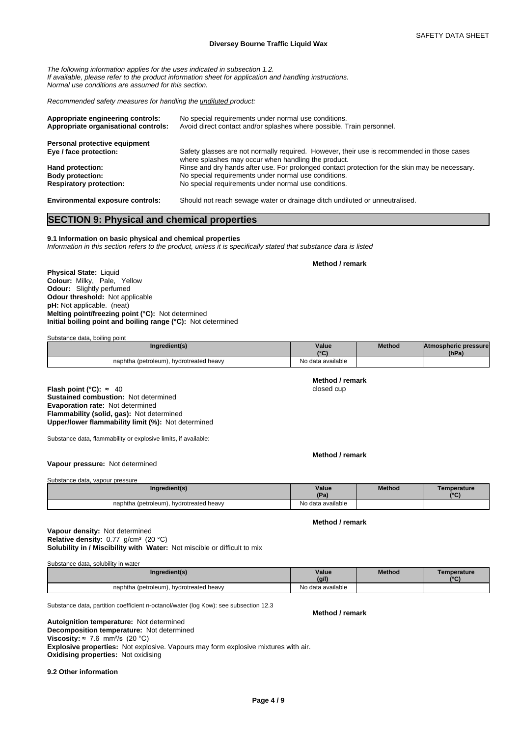*The following information applies for the uses indicated in subsection 1.2. If available, please refer to the product information sheet for application and handling instructions. Normal use conditions are assumed for this section.*

*Recommended safety measures for handling the undiluted product:*

| Appropriate engineering controls:<br>Appropriate organisational controls: | No special requirements under normal use conditions.<br>Avoid direct contact and/or splashes where possible. Train personnel.                     |
|---------------------------------------------------------------------------|---------------------------------------------------------------------------------------------------------------------------------------------------|
| Personal protective equipment                                             |                                                                                                                                                   |
| Eye / face protection:                                                    | Safety glasses are not normally required. However, their use is recommended in those cases<br>where splashes may occur when handling the product. |
| Hand protection:                                                          | Rinse and dry hands after use. For prolonged contact protection for the skin may be necessary.                                                    |
| <b>Body protection:</b>                                                   | No special requirements under normal use conditions.                                                                                              |
| <b>Respiratory protection:</b>                                            | No special requirements under normal use conditions.                                                                                              |
| <b>Environmental exposure controls:</b>                                   | Should not reach sewage water or drainage ditch undiluted or unneutralised.                                                                       |

# **SECTION 9: Physical and chemical properties**

**9.1 Information on basic physical and chemical properties**

*Information in this section refers to the product, unless it is specifically stated that substance data is listed*

**Method / remark**

**Physical State:** Liquid **Colour:** Milky, Pale, Yellow **Odour:** Slightly perfumed **Odour threshold:** Not applicable **pH:** Not applicable. (neat) **Melting point/freezing point (°C):** Not determined **Initial boiling point and boiling range (°C):** Not determined

Substance data, boiling point

| Inaredient(s)                              | Value<br>10 <sup>o</sup> | Method | <b>Atmospheric pressure</b><br>(hPa) |  |
|--------------------------------------------|--------------------------|--------|--------------------------------------|--|
| hydrotreated heavy<br>naphtha (petroleum), | No data available        |        |                                      |  |

**Flash point (°C):** ≈ 40 closed cup **Sustained combustion:** Not determined **Evaporation rate:** Not determined **Flammability (solid, gas):** Not determined **Upper/lower flammability limit (%):** Not determined

Substance data, flammability or explosive limits, if available:

**Method / remark**

**Method / remark**

# **Vapour pressure:** Not determined

Substance data, vapour pressure

| Ingredient(s)                              | Value             | <b>Method</b> | Temperature  |
|--------------------------------------------|-------------------|---------------|--------------|
|                                            | (Pa)              |               | $10^{\circ}$ |
| hydrotreated heavy<br>naphtha (petroleum), | No data available |               |              |

**Method / remark**

# **Solubility in / Miscibility with Water:** Not miscible or difficult to mix **Vapour density:** Not determined Relative density: 0.77 g/cm<sup>3</sup> (20 °C)

Substance data, solubility in water

| Ingredient(s)                           | Value<br>(g/l)    | <b>Method</b> | <b>Femperature</b><br>10 <sub>0</sub> |
|-----------------------------------------|-------------------|---------------|---------------------------------------|
| naphtha (petroleum), hydrotreated heavy | No data available |               |                                       |

Substance data, partition coefficient n-octanol/water (log Kow): see subsection 12.3

**Method / remark**

**Decomposition temperature:** Not determined **Autoignition temperature:** Not determined **Viscosity:**  $\approx$  7.6 mm<sup>2</sup>/s (20 °C) **Explosive properties:** Not explosive. Vapours may form explosive mixtures with air. **Oxidising properties:** Not oxidising

**9.2 Other information**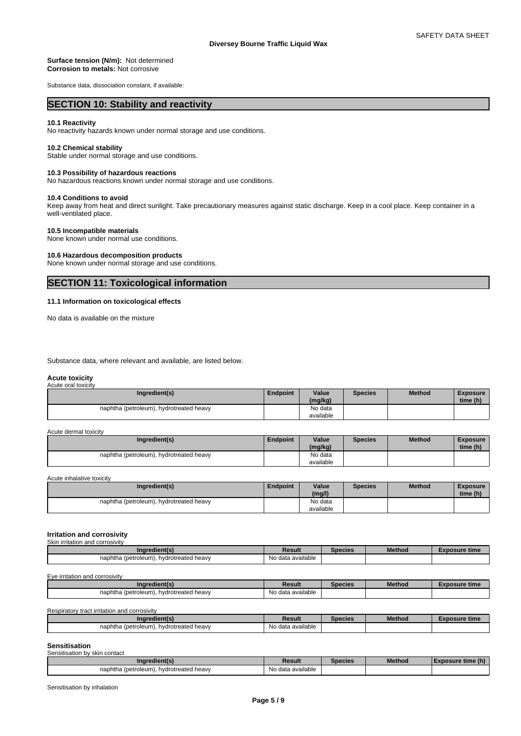## **Surface tension (N/m):** Not determined **Corrosion to metals:** Not corrosive

Substance data, dissociation constant, if available:

# **SECTION 10: Stability and reactivity**

# **10.1 Reactivity**

No reactivity hazards known under normal storage and use conditions.

# **10.2 Chemical stability**

Stable under normal storage and use conditions.

# **10.3 Possibility of hazardous reactions**

No hazardous reactions known under normal storage and use conditions.

# **10.4 Conditions to avoid**

Keep away from heat and direct sunlight. Take precautionary measures against static discharge. Keep in a cool place. Keep container in a well-ventilated place.

# **10.5 Incompatible materials**

None known under normal use conditions.

# **10.6 Hazardous decomposition products**

None known under normal storage and use conditions.

# **SECTION 11: Toxicological information**

# **11.1 Information on toxicological effects**

No data is available on the mixture

Substance data, where relevant and available, are listed below.

#### **Acute toxicity** Acute oral toxi

| 1.00                                    |                 |                      |         |               |                             |
|-----------------------------------------|-----------------|----------------------|---------|---------------|-----------------------------|
| Ingredient(s)                           | <b>Endpoint</b> | Value<br>(mg/kg)     | Species | <b>Method</b> | <b>Exposure</b><br>time (h) |
| naphtha (petroleum), hydrotreated heavy |                 | No data<br>available |         |               |                             |

| Acute dermal toxicity |                                         |          |                      |                |               |                             |
|-----------------------|-----------------------------------------|----------|----------------------|----------------|---------------|-----------------------------|
|                       | Ingredient(s)                           | Endpoint | Value<br>(mg/kg)     | <b>Species</b> | <b>Method</b> | <b>Exposure</b><br>time (h) |
|                       | naphtha (petroleum), hydrotreated heavy |          | No data<br>available |                |               |                             |

Acute inhalative toxicity

| Ingredient(s)                           | <b>Endpoint</b> | Value     | Species | <b>Method</b> | Exposure |
|-----------------------------------------|-----------------|-----------|---------|---------------|----------|
|                                         |                 | (mg/l)    |         |               | time (h) |
| naphtha (petroleum), hydrotreated heavy |                 | No data   |         |               |          |
|                                         |                 | available |         |               |          |

#### **Irritation and corrosivity** Skin irritation and corrosivity

| Ingredient(s)                                | Result                                  | Species | <b>Method</b> | Exposure time |
|----------------------------------------------|-----------------------------------------|---------|---------------|---------------|
| . hvdrotreated heavv<br>naphtha (petroleum). | $\cdots$<br>e data available<br>. I V U |         |               |               |

Eye irritation and corrosivity

| Ingredient(s)                           | Result                        | Species | <b>Method</b> | Exposure time |
|-----------------------------------------|-------------------------------|---------|---------------|---------------|
| naphtha (petroleum), hydrotreated heavy | $\cdots$<br>No data available |         |               |               |

Respiratory tract irritation and corrosivity

| edient(s'<br>.no                              | <b>Result</b>          | Species | Method | osure time |
|-----------------------------------------------|------------------------|---------|--------|------------|
| (petroleum).<br>naphtha<br>hvdrotreated heavv | No data<br>a available |         |        |            |

# **Sensitisation**

| Sensitisation by skin contact                |                   |                |               |                   |
|----------------------------------------------|-------------------|----------------|---------------|-------------------|
| Ingredient(s)                                | Result            | <b>Species</b> | <b>Method</b> | Exposure time (h) |
| naphtha (petroleum),<br>. hvdrotreated heavv | No data available |                |               |                   |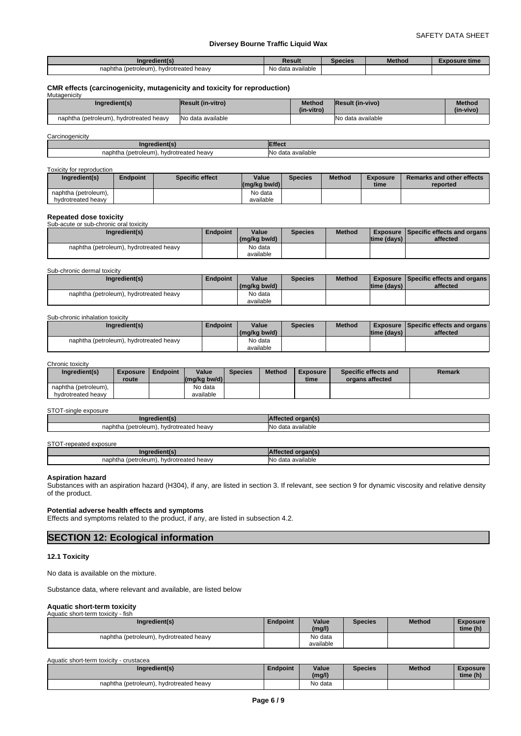| edient(s<br>Inar                                | Result                                               | species | <b>Method</b> | osure time |
|-------------------------------------------------|------------------------------------------------------|---------|---------------|------------|
| naphtha<br>. (petroleum).<br>hydrotreated heavy | available<br><b>DIA</b><br>$\sim$<br>uala<br>. I VL. |         |               |            |

#### **CMR effects (carcinogenicity, mutagenicity and toxicity for reproduction)** Mutagenicity

|  | Ingredient(s)                           | <b>Result (in-vitro)</b> | Method     | <b>Result (in-vivo)</b> | <b>Method</b> |  |
|--|-----------------------------------------|--------------------------|------------|-------------------------|---------------|--|
|  |                                         |                          | (in-vitro) |                         | (in-vivo)     |  |
|  | naphtha (petroleum), hydrotreated heavy | No data available        |            | No data available       |               |  |

| Carcinogenicity                            |                          |  |  |  |
|--------------------------------------------|--------------------------|--|--|--|
|                                            | ttect                    |  |  |  |
| naphtha (petroleum),<br>hydrotreated heavy | INI∩<br>∘ data available |  |  |  |

#### Toxicity for reproduction

| Ingredient(s)        | Endpoint | Specific effect | Value<br>$(mg/kg$ bw/d) | Species | <b>Method</b> | <b>Exposure</b><br>time | Remarks and other effects<br>reported |
|----------------------|----------|-----------------|-------------------------|---------|---------------|-------------------------|---------------------------------------|
| naphtha (petroleum), |          |                 | No data                 |         |               |                         |                                       |
| hydrotreated heavy   |          |                 | available               |         |               |                         |                                       |

| <b>Repeated dose toxicity</b>           |          |              |                |               |              |                                                 |
|-----------------------------------------|----------|--------------|----------------|---------------|--------------|-------------------------------------------------|
| Sub-acute or sub-chronic oral toxicity  |          |              |                |               |              |                                                 |
| Ingredient(s)                           | Endpoint | Value        | <b>Species</b> | <b>Method</b> |              | <b>Exposure   Specific effects and organs  </b> |
|                                         |          | (ma/ka bw/d) |                |               | Itime (davs) | affected                                        |
| naphtha (petroleum), hydrotreated heavy |          | No data      |                |               |              |                                                 |
|                                         |          | available    |                |               |              |                                                 |

Sub-chronic dermal toxicity

| Ingredient(s)                              | Endpoint | Value<br>(mg/kg bw/d) | <b>Species</b> | <b>Method</b> | Itime (davs) | Exposure   Specific effects and organs  <br>affected |
|--------------------------------------------|----------|-----------------------|----------------|---------------|--------------|------------------------------------------------------|
| hydrotreated heavy<br>naphtha (petroleum), |          | No data<br>available  |                |               |              |                                                      |

#### Sub-chronic inhalation toxicity

| Ingredient(s)                           | Endpoint | Value<br>(mg/kg bw/d) | <b>Species</b> | <b>Method</b> | ltime (davs) | <b>Exposure Specific effects and organs  </b><br>affected |
|-----------------------------------------|----------|-----------------------|----------------|---------------|--------------|-----------------------------------------------------------|
| naphtha (petroleum), hydrotreated heavy |          | No data               |                |               |              |                                                           |
|                                         |          | available             |                |               |              |                                                           |

#### Chronic toxicity

| Ingredient(s)                              | <b>Exposure</b><br>route | Endpoint | Value<br>$\left \frac{\text{mag}}{\text{kg}}\right $ bw/d) | <b>Species</b> | <b>Method</b> | <b>Exposure</b><br>time | Specific effects and<br>organs affected | Remark |
|--------------------------------------------|--------------------------|----------|------------------------------------------------------------|----------------|---------------|-------------------------|-----------------------------------------|--------|
| naphtha (petroleum).<br>hydrotreated heavy |                          |          | No data<br>available                                       |                |               |                         |                                         |        |

#### STOT-single exposure

| Inaredient(s                                  | organ(s'<br>честес.                           |
|-----------------------------------------------|-----------------------------------------------|
| naphtha<br>(petroleum).<br>hydrotreated heavy | $\cdots$<br>ı available<br>INc<br>data כ<br>. |

# STOT-repeated exposure

| <b>Podion.</b><br>.na<br>.                               |                                                  |
|----------------------------------------------------------|--------------------------------------------------|
| naphtha<br>hydrotreated heavy<br>(petroleu<br>-----<br>m | <b>No</b><br>A <sub>0</sub><br>available<br>uala |

#### **Aspiration hazard**

Substances with an aspiration hazard (H304), if any, are listed in section 3. If relevant, see section 9 for dynamic viscosity and relative density of the product.

# **Potential adverse health effects and symptoms**

Effects and symptoms related to the product, if any, are listed in subsection 4.2.

# **SECTION 12: Ecological information**

#### **12.1 Toxicity**

No data is available on the mixture.

Substance data, where relevant and available, are listed below

#### **Aquatic short-term toxicity** Aquatic short-term toxicity - fish

| Ingredient(s)                           | <b>Endpoint</b> | Value<br>(mg/l) | <b>Species</b> | Method | <b>Exposure</b><br>time (h) |
|-----------------------------------------|-----------------|-----------------|----------------|--------|-----------------------------|
| naphtha (petroleum), hydrotreated heavy |                 | No data         |                |        |                             |
|                                         |                 | available       |                |        |                             |

| Aquatic short-term toxicity - crustacea                                                  |  |         |  |  |          |  |  |  |
|------------------------------------------------------------------------------------------|--|---------|--|--|----------|--|--|--|
| Value<br>Ingredient(s)<br><b>Method</b><br>Endpoint<br><b>Species</b><br><b>Exposure</b> |  |         |  |  |          |  |  |  |
|                                                                                          |  | (mg/l)  |  |  | time (h) |  |  |  |
| naphtha (petroleum), hydrotreated heavy                                                  |  | No data |  |  |          |  |  |  |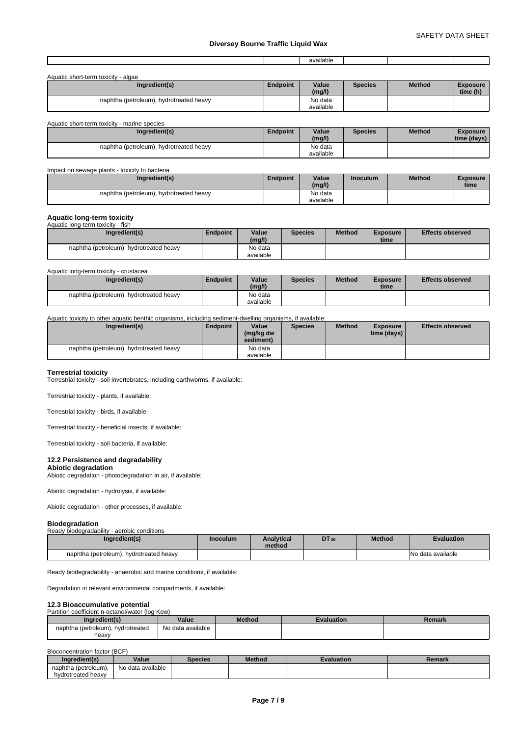|  | <br>--<br>ole<br>๚แศเ |  |  |
|--|-----------------------|--|--|
|  |                       |  |  |

| Aquatic short-term toxicity - algae     |                 |                      |                |               |                             |
|-----------------------------------------|-----------------|----------------------|----------------|---------------|-----------------------------|
| Ingredient(s)                           | <b>Endpoint</b> | Value<br>(mg/l)      | <b>Species</b> | <b>Method</b> | <b>Exposure</b><br>time (h) |
| naphtha (petroleum), hydrotreated heavy |                 | No data<br>available |                |               |                             |

| Aquatic short-term toxicity - marine species |                 |                      |                |               |                                  |
|----------------------------------------------|-----------------|----------------------|----------------|---------------|----------------------------------|
| Ingredient(s)                                | <b>Endpoint</b> | Value<br>(mg/l)      | <b>Species</b> | <b>Method</b> | <b>Exposure</b><br>$time$ (days) |
| naphtha (petroleum), hydrotreated heavy      |                 | No data<br>available |                |               |                                  |

#### Impact on sewage plants - toxicity to bacteria **Ingredient(s) Endpoint Value Inoculum (mg/l) Industrial Method Exposure time**  naphtha (petroleum), hydrotreated heavy No data available

# **Aquatic long-term toxicity**

| Aquatic long-term toxicity - fish       |          |           |                |               |          |                         |
|-----------------------------------------|----------|-----------|----------------|---------------|----------|-------------------------|
| Ingredient(s)                           | Endpoint | Value     | <b>Species</b> | <b>Method</b> | Exposure | <b>Effects observed</b> |
|                                         |          | (mg/l)    |                |               | time     |                         |
| naphtha (petroleum), hydrotreated heavy |          | No data   |                |               |          |                         |
|                                         |          | available |                |               |          |                         |

Aquatic long-term toxicity - crustacea

| Ingredient(s)                           | <b>Endpoint</b> | Value<br>(mg/l)      | <b>Species</b> | <b>Method</b> | <b>Exposure</b><br>time | <b>Effects observed</b> |
|-----------------------------------------|-----------------|----------------------|----------------|---------------|-------------------------|-------------------------|
| naphtha (petroleum), hydrotreated heavy |                 | No data<br>available |                |               |                         |                         |

#### Aquatic toxicity to other aquatic benthic organisms, including sediment-dwelling organisms, if available:

| Ingredient(s)                           | Endpoint | Value<br>(mg/kg dw<br>sediment) | <b>Species</b> | <b>Method</b> | Exposure<br>$ time$ (days) $ $ | <b>Effects observed</b> |
|-----------------------------------------|----------|---------------------------------|----------------|---------------|--------------------------------|-------------------------|
| naphtha (petroleum), hydrotreated heavy |          | No data<br>available            |                |               |                                |                         |

#### **Terrestrial toxicity**

Terrestrial toxicity - soil invertebrates, including earthworms, if available:

Terrestrial toxicity - plants, if available:

Terrestrial toxicity - birds, if available:

Terrestrial toxicity - beneficial insects, if available:

Terrestrial toxicity - soil bacteria, if available:

# **12.2 Persistence and degradability**

**Abiotic degradation** Abiotic degradation - photodegradation in air, if available:

Abiotic degradation - hydrolysis, if available:

Abiotic degradation - other processes, if available:

# **Biodegradation**

| ---------------                             |                 |                             |       |               |                    |  |
|---------------------------------------------|-----------------|-----------------------------|-------|---------------|--------------------|--|
| Ready biodegradability - aerobic conditions |                 |                             |       |               |                    |  |
| Ingredient(s)                               | <b>Inoculum</b> | <b>Analytical</b><br>method | DT 50 | <b>Method</b> | <b>Evaluation</b>  |  |
| naphtha (petroleum), hydrotreated heavy     |                 |                             |       |               | INo data available |  |

Ready biodegradability - anaerobic and marine conditions, if available:

Degradation in relevant environmental compartments, if available:

# **12.3 Bioaccumulative potential**<br>Partition coefficient n-octanol/water (log Kow)

| Ingredient(s)                              | Value             | <b>Method</b> | Evaluation | Remark |
|--------------------------------------------|-------------------|---------------|------------|--------|
| naphtha (petroleum), hydrotreated<br>heavy | No data available |               |            |        |

#### Bioconcentration factor (BCF)

| Ingredient(s)        | Value             | Species | <b>Method</b> | Evaluation | Remark |
|----------------------|-------------------|---------|---------------|------------|--------|
| naphtha (petroleum). | No data available |         |               |            |        |
| hydrotreated heavy   |                   |         |               |            |        |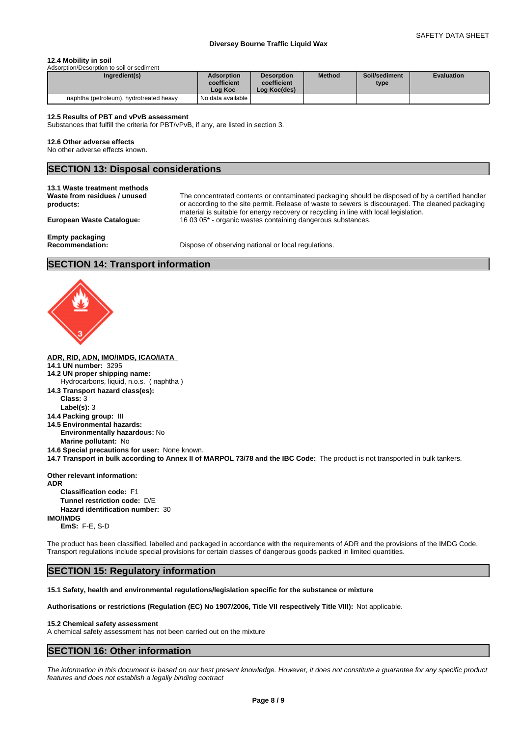# **12.4 Mobility in soil**

| Ingredient(s)                           | <b>Adsorption</b><br>coefficient<br>Loa Koc | <b>Desorption</b><br>coefficient<br>Log Koc(des) | <b>Method</b> | Soil/sediment<br>type | <b>Evaluation</b> |
|-----------------------------------------|---------------------------------------------|--------------------------------------------------|---------------|-----------------------|-------------------|
| naphtha (petroleum), hydrotreated heavy | No data available                           |                                                  |               |                       |                   |

#### **12.5 Results of PBT and vPvB assessment**

Substances that fulfill the criteria for PBT/vPvB, if any, are listed in section 3.

## **12.6 Other adverse effects**

No other adverse effects known.

# **SECTION 13: Disposal considerations**

**13.1 Waste treatment methods Waste from residues / unused products:**

The concentrated contents or contaminated packaging should be disposed of by a certified handler or according to the site permit. Release of waste to sewers is discouraged. The cleaned packaging material is suitable for energy recovery or recycling in line with local legislation. **European Waste Catalogue:** 16 03 05\* - organic wastes containing dangerous substances.

**Empty packaging**

**Recommendation:** Dispose of observing national or local regulations.

# **SECTION 14: Transport information**



|   |  | ADR. RID. ADN. IMO/IMDG. ICAO/IATA |
|---|--|------------------------------------|
| . |  |                                    |

- **14.1 UN number:** 3295
- **14.2 UN proper shipping name:** Hydrocarbons, liquid, n.o.s. ( naphtha )
- **14.3 Transport hazard class(es):**
	- **Class:** 3
	- **Label(s):** 3
- **14.4 Packing group:** III
- **14.5 Environmental hazards:**
- **Environmentally hazardous:** No
- **Marine pollutant:** No
- **14.6 Special precautions for user:** None known.
- **14.7 Transport in bulk according to Annex II of MARPOL 73/78 and the IBC Code:** The product is not transported in bulk tankers.

**Other relevant information: ADR Classification code:** F1 **Tunnel restriction code:** D/E **Hazard identification number:** 30 **IMO/IMDG EmS:** F-E, S-D

The product has been classified, labelled and packaged in accordance with the requirements of ADR and the provisions of the IMDG Code. Transport regulations include special provisions for certain classes of dangerous goods packed in limited quantities.

# **SECTION 15: Regulatory information**

**15.1 Safety, health and environmental regulations/legislation specific for the substance or mixture**

**Authorisations or restrictions (Regulation (EC) No 1907/2006, Title VII respectively Title VIII):** Not applicable.

# **15.2 Chemical safety assessment**

A chemical safety assessment has not been carried out on the mixture

# **SECTION 16: Other information**

*The information in this document is based on our best present knowledge. However, it does not constitute a guarantee for any specific product features and does not establish a legally binding contract*